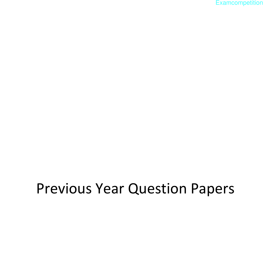**[Examcompetition](http://admission.aglasem.com/)** 

# Previous Year Question Papers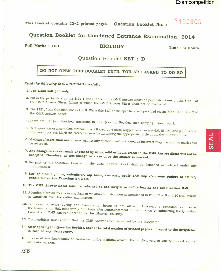# 3401909

This Booklet contains 22+2 printed pages. **Question Booklet No.:** 

# Question Booklet for Combined Entrance Examination, 2014

Full Marks: 100

**BIOLOGY** 

Time: 2 Hours

## Question Booklet SET : D

## DO NOT OPEN THIS BOOKLET UNTIL YOU ARE ASKED TO DO SO

#### Read the following INSTRUCTIONS carefully:

#### 1. Use black ball pen only.

- 2. Fill in the particulars on the Side 1 and Side 2 of the OMR Answer Sheet as per Instructions on the Side 1 of the OMR Answer Sheet, failing of which the OMR Answer Sheet shall not be evaluated.
- 3. The SET of this Question Booklet is D. Write this SET at the specific space provided on the Side 1 and Side 2 of the OMR Answer Sheet.
- 4. There are 100 (one hundred) questions in this Question Booklet, each carrying 1 (one) mark.
- 5. Each question or incomplete statement is followed by 4 (four) suggestive answers-[A], [B], [C] and [D] of which only one is correct. Mark the correct answer by darkening the appropriate circle in the OMR Answer Sheet.
- 6. Marking of more than one answer against any question will be treated as incorrect response and no mark shall be awarded.
- 7. Any change in answer made or erased by using solid or liquid eraser in the OMR Answer Sheet will not be accepted. Therefore, do not change or erase once the answer is marked.
- 8. No part of the Question Booklet or the OMR Answer Sheet shall be detached or defaced under any
- 9. Use of mobile phone, calculator, log table, compass, scale and any electronic gadget is strictly prohibited in the Examination Hall.
- 10. The OMR Answer Sheet must be returned to the Invigilator before leaving the Examination Hall.
- 11. Adoption of unfair means in any form or violation of instruction as mentioned in Point Nos. 9 and 10 shall result in expulsion from the entire examination.
- 12. Temporary absence during the examination hours is not allowed. However, a candidate can leave the Examination Hall temporarily one hour after commencement of examination by submitting the Question Booklet and OMR Answer Sheet to the Invigilator(s) on duty.
- 13. The candidate must ensure that the OMR Answer Sheet is signed by the Invigilator.
- 14. After opening the Question Booklet, check the total number of printed pages and report to the Invigilator in case of any discrepancy.
- 15. In case of any discrepancy or confusion in the medium/version, the English version will be treated as the authentic version.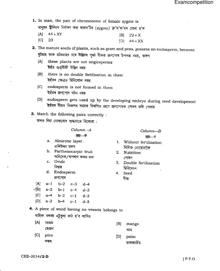1. In man, the pair of chromosome of female zygote is

মানূহৰ স্ত্ৰীলিংগ নিৰ্ধাৰণ কৰা জায়গ'টৰ (zygote) ক্ৰ'ম'জ'মৰ যোৰা হ'ল

- $[A]$  44 + XY  $[B]$  22 + X
- (A)  $44 + XY$  [B]  $22 + X$ <br>[C] 23 1D  $44 + XX$

2. The mature seeds of plants, such as gram and peas, possess no endosperm, because বুটমাহ আৰু মটৰমাহৰ দৰে উদ্ভিদৰ পুৰঠ বীজত ভ্ৰাণপোষ উপলব্ধ নহয়, কাৰণ

- [A] these plants are not angiosperms ইহঁত গুপ্নবীজী উদ্ভিদ নহয়
- tB1 there is no double fertilization in them ইহঁতৰ ক্ষেত্ৰত দ্বিনিষেচন নহয়
- lC] endosperm is not formed in them ইহঁতৰ জ্ৰণপোষ গঠন নহয়
- tDl endosperm gets used up by the developing embryo during seed deveiopment ইহঁতৰ বীজৰ বিকাশৰ সময়ত বিকশিত জ্ৰণে জ্ৰণপোষক শোষণ কৰি পেলায়
- 3. Match the following pairs correctly :

তলত দিয়া যোৰাবোৰ শুদ্ধভাৱে মিলোৱা :

| $Column-A$ | Column—B |
|------------|----------|
| মন্ত্ৰ-ক   | অন্ড— ব  |

- 
- এলিউৰন তৰপ<br>b. Parthenocarpic fruit  $\begin{array}{ccc} & {\rm~~~if} \ {\rm~if} \ {\rm~for} \end{array}$ vfrcv+7v"r<n v+l vt (161
- 
- 
- $[A]$  a-1 b-2 c-3 d-4
- $\sqrt{B}$  a-2 b-1 c-4 d-3
- $[C]$  a-4 b-2 c-1 d-3
- $[D]$  a-2 b-4 c-1 d-3

- a. Aleurone layer . 1. Without fertilization<br>এলিউবন তৰণ
	-
- c. Ovule 3. Double fertilization<br>ডিম্বক বিনিষেচন<br>d. Endosperm 4. Seed ক্লণপোষ

তালজাতীয়

4. A piece of wood having no vessels belongs to

## বাহিকা নথকা এটুকুৰা কাঠ হ'ব লাগিব

| [A] teak   | $[B]$ mango |
|------------|-------------|
| ছেপ্তন     | আম          |
| $[C]$ pine | $[D]$ palm  |

সৰল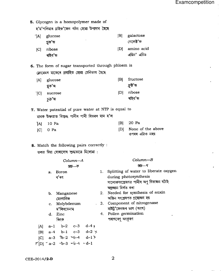Examcompetition

5. Glycogen is a homopolymer made of হ'ম'পলিমাৰ গ্লাইক'জেন গঠন হোৱা উপাদান হৈছে  $|B|$ galactose  $^{\circ}$ [A] glucose গেলেক্ট'জ গ্নক'জ amino acid ribose  $[D]$  $|C|$ এমিন' এচিড ৰাইব'জ 6. The form of sugar transported through phloem is ফ্লোৱেমৰ মাজেৰে প্ৰবাহিত হোৱা চেনিভাগ হৈছে  $|B|$ fructose glucose  $[A]$ ফ্ৰুষ্ট'জ গ্নক'জ  $[D]$ ribose  $\overline{C}$ sucrose ৰাইব'জ চক'জ 7. Water potential of pure water at NTP is equal to মানক উষ্ণতাত বিশুদ্ধ পানীৰ পানী বিভৱৰ মান হ'ল 20 Pa  $|B|$ 10 Pa [A] None of the above  $[D]$  $|C|$  0 Pa ওপৰৰ এটাও নহয় 8. Match the following pairs correctly : তলত দিয়া যোৰাবোৰ শুদ্ধভাৱে মিলোৱা :  $Column-B$ Column-A ন্ত থ স্তম্ভ—ক 1. Splitting of water to liberate oxygen a. Boron during photosynthesis ব'ৰণ সালোকসংশ্লেষণত পানীৰ অণু বিভাজন ঘটাই অম্লজান নিৰ্গত কৰা 2. Needed for synthesis of auxin b. Manganese অক্সিন সংশ্লেষণত প্ৰয়োজন হয় মেংগানিজ . 3. Component of nitrogenase c. Molybdenum নাইট'জেনজৰ ভাগ (অংশ) ম'লিবডেনাম 4. Pollen germination d. Zinc জিংক পৰাগৰেণু অংকুৰণ  $[A]$  $a-1$  $b - 2$  $c - 3$  $d-4 \times$ 

 $|B|$ 

 $|C|$ 

 $a-4$ 

 $b-1$ 

 $a-3$   $b-2$   $c-4$ 

 $\sqrt{\frac{1}{2}}$  = a-2 \b-3 \cdot \cdot \cdot \cdot \cdot \cdot \cdot \cdot \cdot \cdot \cdot \cdot \cdot \cdot \cdot \cdot \cdot \cdot \cdot \cdot \cdot \cdot \cdot \cdot \cdot \cdot \cdot \cdot \cdot \cdot \cdot \cdot \cdot

 $c - 3$ 

 $d-2 \times$ 

 $d-1$   $\times$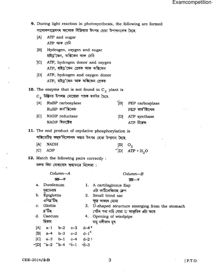- 9. During light reaction in photosynthesis, the following are formed সালোকসংশ্লেষণৰ আলোক বিক্ৰিয়াত উৎপন্ন হোৱা উপাদানবোৰ হৈছে
	- ATP and sugar  $[A]$  $ATP$  আৰু চেনি
	- [B] Hydrogen, oxygen and sugar হাইড্ৰ'জেন, অক্সিজেন আৰু চেনি
	- [C] ATP, hydrogen donor and oxygen ATP, হাইড্ৰ'জেন প্ৰেৰক আৰু অক্সিজেন
	- [D] ATP, hydrogen and oxygen donor ATP, হাইড্ৰ'জেন আৰু অক্সিজেন প্ৰেৰক

10. The enzyme that is not found in  $C_3$  plant is

- $C_3$  উদ্ভিদত উপলব্ধ নোহোৱা পাচক ৰসবিধ হৈছে
- [B] PEP carboxylase [A] RuBP carboxylase RuBP কাৰ্ব'ক্সিলেজ PEP কাৰ্ব'ক্সিলেজ [C] NADP reductase ATP synthase  $[D]$

ATP চিম্বেজ

NADP ৰিডাক্টেজ

11. The end product of oxydative phosphorylation is অক্সিডেটিভ্ ফছফ'ৰিলেচনৰ অন্তত উৎপন্ন হোৱা উপাদান হৈছে

- $O_2$  $|A|$ **NADH**
- $V[D]$   $ATP + H_2O$  $[C]$ **ADP**
- 12. Match the following pairs correctly : তলত দিয়া যোৰাবোৰ শুদ্ধভাৱে মিলোৱা :

| Column-A           |            |                                                                        |                                                 | $Column-B$                           |  |  |  |
|--------------------|------------|------------------------------------------------------------------------|-------------------------------------------------|--------------------------------------|--|--|--|
|                    |            | ন্তম্ভ—ক                                                               |                                                 | স্ত্ত—প                              |  |  |  |
| a.                 | Duodenum   |                                                                        |                                                 | 1. A cartilaginous flap              |  |  |  |
|                    | দূৰডেনাম   |                                                                        |                                                 | এটা কার্টিলেজিনাছ ফ্লেপ              |  |  |  |
| b.                 | Epiglottis |                                                                        |                                                 | Small blind sac<br>2.                |  |  |  |
|                    | এপিগ্ন'টিছ |                                                                        |                                                 | ক্ষুদ্ৰ আন্ধাৰ মোনা                  |  |  |  |
| Glottis<br>C.      |            |                                                                        | 3. U-shaped structure emerging from the stomach |                                      |  |  |  |
|                    | গ্ল'টিছ    |                                                                        |                                                 | পেটৰ পৰা বাঢ়ি যোৱা U আকৃতিৰ এটা অংগ |  |  |  |
| Caecum<br>d.<br>4. |            |                                                                        | Opening of windpipe                             |                                      |  |  |  |
|                    | ছিকাম      |                                                                        |                                                 | বায়ু নলীকাৰ মুখ                     |  |  |  |
| [A]                | $a-1$      |                                                                        | $b-2$ $c-3$                                     | $d-4$                                |  |  |  |
| B                  |            | $a-4$ $b-3$ $c-2$                                                      |                                                 | $d-1^{\kappa}$                       |  |  |  |
| C                  |            |                                                                        |                                                 | $a-3$ $b-1$ $c-4$ $d-2$ $k$          |  |  |  |
|                    |            | $\triangleleft$ Dl $\angle$ a-2 $\angle$ b-4 $\angle$ c-1 $\angle$ d-3 |                                                 |                                      |  |  |  |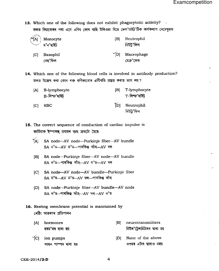13. Which one of the following does not exhibit phagocytotic activity? তলত দিয়াবোৰৰ পৰা এনে এবিধ কোষ বাছি উলিওৱা যিয়ে ফেগ'চাইট'টিক কাৰ্যকলাপ নেদেখৱায়

| 1AI | Monocyte |
|-----|----------|
|     | ম'ন'ছাইট |

- $|B|$ Neutrophil নিউট'ফিল
- Basophil  $\mathcal{L}[\mathbf{D}]$ Macrophage  $|C|$ বেছ'ফিল মেক্ৰ'ফেজ

14. Which one of the following blood cells is involved in antibody production? তলত উল্লেখ কৰা কোন ৰক্ত কণিকাবোৰ এন্টিবডি প্ৰস্তুত কৰাত ভাগ লয়?

- $[A]$ **B-lymphocyte**  $|B|$ T-lymphocyte T-লিম্ফ'ছাইট B-লিম্ফ'ছাইট
- [D] Neutrophil **RBC**  $|C|$ নিউট্ৰ'ফিল

15. The correct sequence of conduction of cardiac impulse is কাৰ্ডিয়াক ইম্পালছ প্ৰবাহৰ শুদ্ধ ক্ৰমটো হৈছে

- [A] SA node-AV node-Purkinje fiber-AV bundle SA न'ড-AV न'ড- পাৰকিঞ্জ আঁহ-AV দল
- [B] SA node-Purkinje fiber-AV node-AV bundle SA ন'ড-পাৰকিঞ্জ আঁহ-AV ন'ড-AV দল
- [C] SA node-AV node-AV bundle-Purkinje fiber  $SA = \sqrt[3]{6}$   $-AV = \sqrt[3]{6}$   $-AV = \sqrt[3]{6}$   $-4V = \sqrt[3]{6}$
- [D] SA node---Purkinje fiber---AV bundle---AV node SA ন'ড-পাৰকিঞ্জ আঁহ-AV দল-AV ন'ড
- 16. Resting membrane potential is maintained by ৰেষ্টিং আৱৰণৰ প্ৰতিপালন
	- [A] hormones [B] neurotransmitters নিউৰ'টেন্সমিটাৰৰ দ্বাৰা হয় হৰম'নৰ দ্বাৰা হয়
	- $\triangleleft$ CI ion pumps আয়ন পাম্পৰ দ্বাৰা হয়

[D] None of the above

ওপৰৰ এটাৰ দ্বাৰাও নহয়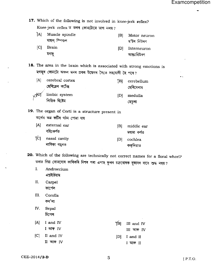$\sim$ 

17. Which of the following is not involved in knee-jerk reflex? Knee-jerk reflex ত তলৰ কোনটোৱে ভাগ নলয়? IAl Muscle spindle  $|B|$ Motor neuron মাছল স্পিণ্ডল ম'টৰ নিউৰণ  $|C|$ **Brain**  $[D]$ Interneuron মগজু আন্তঃনিউৰণ 18. The area in the brain which is associated with strong emotions is মগজুৰ কোনটো অঞ্চল মনৰ প্ৰবল উদ্বেগৰ সৈতে সহযোগী হৈ পৰে?  $[A]$ cerebral cortex TBI. cerebellum ছেৰিব্ৰেল কৰ্টেক্স ছেৰিবেলাম limbic system  $|D|$ medulla লিম্বিক ছিষ্টেম মেড়লা 19. The organ of Corti is a structure present in অৰ্গেন অৱ কৰ্টিৰ গঠন পোৱা যায়  $[A]$ external ear  $|B|$ middle ear বহিঃকৰ্ণত মধ্যমা কৰ্ণত [C] nasal cavity cochlea  $[D]$ নাসিকা গহুৰত কক্লিয়াত 20. Which of the following are technically not correct names for a floral whorl? তলত দিয়া কোনবোৰ কাৰিকৰি দিশৰ পৰা এপাহ ফুলৰ চক্ৰবোৰক বুজাবৰ বাবে শুদ্ধ নহয়?  $\mathbf{I}$ . Androecium এন্দ্ৰইচিয়াম  $II.$ Carpel কাৰ্পেল  $III.$ Corolla কৰ'লা IV. Sepal চিপেল  $|A|$ I and IV YBI I III and IV I আৰু IV III আৰু IV  $|C|$  II and IV  $[D]$ I and II II আৰু IV I আৰু II

 $[$  P.T.O.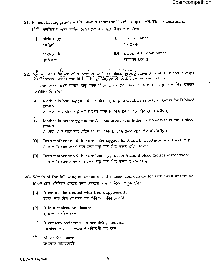21. Person having genotype  $I^{A}I^{B}$  would show the blood group as AB. This is because of

 $1^{\text{A}}$ ঢ (জন'টাইপৰ এজন বাক্তিৰ তেজৰ গ্ৰুপ হ'ব AB. ইয়াৰ কাৰণ হৈছে

 $|A|$ pleiotropy প্রিয়'টগি

- $|B|$ codominance সহ-প্ৰবলতা
- [D] incomplete dominance [C] segregation অসম্পৰ্ণ প্ৰবলতা পথকীকৰণ

 $\circ$ 22. Mother and father of a (person with O blood group) have A and B blood groups respectively. What would be the genotype of both mother and father?

O তেজৰ গ্ৰুপৰ এজন ব্যক্তিৰ মাতৃ আৰু পিতৃৰ তেজৰ গ্ৰুপ ক্ৰমে A আৰু B. মাতৃ আৰু পিতৃ উভয়ৰে জেন'টাইপ কি হ'ব?

- Mother is homozygous for A blood group and father is heterozygous for B blood  $|A|$ group A তেজ গ্ৰুপৰ বাবে মাতৃ হ'ম'জাইগাছ আৰু B তেজ গ্ৰুপৰ বাবে পিতৃ হেটাৰ'জাইগাছ
- Mother is heterozygous for A blood group and father is homozygous for B blood  $|B|$ group A তেজ গ্ৰুপৰ বাবে মাতৃ হেটাৰ'জাইগাছ আৰু B তেজ গ্ৰুপৰ বাবে পিতৃ হ'ম'জাইগাছ
- [C] Both mother and father are heterozygous for A and B blood groups respectively A আৰু B তেজ গ্ৰুপৰ বাবে ক্ৰমে মাতৃ আৰু পিতৃ উভয়ে হেটাৰ'জাইগাছ
- Both mother and father are homozygous for A and B blood groups respectively  $[D]$ A আৰু B তেজ গ্ৰুপৰ বাবে ক্ৰমে মাতৃ আৰু পিতৃ উভয়ে হ'ম'জাইগাছ
- 23. Which of the following statements is the most appropriate for sickle-cell anaemia? চিকেল-ছেল এনিমিয়াৰ ক্ষেত্ৰত তলৰ কোনটো উক্তি অতিকৈ উপযুক্ত হ'ব?
	- It cannot be treated with iron supplements  $[A]$ ইয়াক লৌহ যৌগ যোগানৰ দ্বাৰা চিকিৎসা কৰিব নোৱাৰি
	- It is a molecular disease  $|B|$ ই এবিধ আণৱিক ৰোগ
	- It confers resistance to acquiring malaria  $|C|$ মেলেৰিয়া আহৰণৰ ক্ষেত্ৰত ই প্ৰতিৰোধী কাম কৰে
	- [D] All of the above উপৰোক্ত আটাইকেইটা

6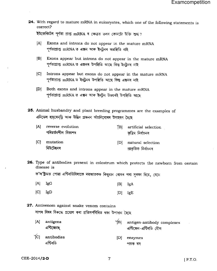24. With regard to mature mRNA in eukaryotes, which one of the following statements is correct?

ইউকেৰিয়টৰ পূৰ্ণতা প্ৰাপ্ত mRNA ৰ ক্ষেত্ৰত তলৰ কোনটো উক্তি শুদ্ধ ?

- Exons and introns do not appear in the mature mRNA  $[A]$ পূৰ্ণতাপ্ৰাপ্ত mRNA ত এক্সন আৰু ইনট্ৰনৰ অৱস্থিতি নাই
- $|B|$ Exons appear but introns do not appear in the mature mRNA পূৰ্ণতাপ্ৰাপ্ত mRNA ত এক্সনৰ উপস্থিতি আছে কিন্তু ইনট্ৰনৰ নাই
- [C] Introns appear but exons do not appear in the mature mRNA পূৰ্ণতাপ্ৰাপ্ত mRNA ত ইনট্ৰনৰ উপস্থিতি আছে কিন্তু এক্সনৰ নাই
- [D] Both exons and introns appear in the mature mRNA পূৰ্ণতাপ্ৰাপ্ত mRNA ত এক্সন আৰু ইন্ট্ৰন উভয়ৰই উপস্থিতি আছে

25. Animal husbandry and plant breeding programmes are the examples of এনিমেল হাচ্বেনড্ৰি আৰু উদ্ভিদ প্ৰজনন আঁচনিবোৰৰ উদাহৰণ হৈছে

- $[A]$ reverse evolution [B] artificial selection পৰিৱৰ্তনশীল বিকাশৰ কত্ৰিম নিৰ্বাচনৰ
- $|C|$ mutation [D] natural selection মিউটেছনৰ প্ৰাকৃতিক নিৰ্বাচনৰ
- 26. Type of antibodies present in colostrum which protects the newborn from certain disease is

ক'ল'ষ্ট্ৰামত পোৱা এন্টিবডিবিলাকে নৱজাতকক কিছুমান ৰোগৰ পৰা সুৰক্ষা দিয়ে, যেনে

- $[A]$   $IgG$  $|B|$ IgA
- $|{\bf C}|$ IgD  $|D|$ IgE
- 27. Antivenom against snake venom contains সাপৰ বিষৰ বিৰুদ্ধে প্ৰয়োগ কৰা প্ৰতিসৰ্পবিষিত থকা উপাদান হৈছে
	- $[A]$ antigens YBI antigen-antibody complexes এন্টিজেনছ এন্টিজেন-এন্টিবডি যৌগ TCI antibodies  $|D|$ enzymes এন্টিবডি পাচক ৰস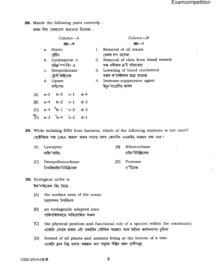28. Match the following pairs correctly :

তলত দিয়া যোৰাবোৰ শুদ্ধভাৱে মিলোৱা :

|                                              | Column—A |    | Column—B                            |  |  |
|----------------------------------------------|----------|----|-------------------------------------|--|--|
| ন্তম্ভ—ক                                     |          |    | छछ—∜                                |  |  |
| Statin<br>$a_{\cdot}$                        |          |    | Removal of oil stains               |  |  |
| ষ্টেন্সি                                     |          |    | তেলৰ দাগ গুচোৱা                     |  |  |
| Cyclosporin A<br>b.                          |          | 2. | Removal of clots from blood vessels |  |  |
| চাইক্ল'ম্প'ৰিন A                             |          |    | ৰক্ত নলীকাৰ ক্ল'ট আঁতৰোৱা           |  |  |
| c. Streptokinase                             |          | 3. | Lowering of blood cholesterol       |  |  |
| ষ্টেপ্ট'কাইনেজ                               |          |    | ৰক্তৰ ক'লেষ্টৰলৰ মাত্ৰা কমোৱা       |  |  |
| d. Lipase                                    |          | 4. | Immuno-suppressive agent            |  |  |
| লাইপেজ                                       |          |    | 'ইমুন'চাপ্ৰেচিভ্ কাৰক               |  |  |
| $a-2$ $b-3$ $c-1$ $d-4$<br>[A]               |          |    |                                     |  |  |
| $a-4$ $b-2$ $c-1$ $d-3$<br> B                |          |    |                                     |  |  |
| $a-4$ $b-1$ $c-2$ $d-3$<br> C                |          |    |                                     |  |  |
| $\widetilde{[D]}$<br>$a-3$ $b-4$ $c-2$ $d-1$ |          |    |                                     |  |  |
|                                              |          |    |                                     |  |  |

- 29. While isoiating DNA from bacteria, which of the following enzymes is not used? বেক্টেৰিয়াৰ পৰা DNA আহৰণ কৰাৰ সময়ত তলৰ কোনবিধ এনজাইম্ ব্যৱহাৰ কৰা নহয় ?
	- লাইচ'জাইম
	- [C] Deoxyribonuclease ডিঅক্সিৰাইব'নিউক্লিয়েজ
	- [A] Lysozyme [B] Ribonuclease ৰাইব'নিউক্লিয়েজ
		- [D] Protease প্ৰ'টিযেজ

30. Ecological niche is

'ইক'লজিকেল নিচ্ হৈছে

- [A] the surface area of the ocean মহাসাগৰৰ উপৰিভাগ
- [B] an ecologically adapted zone পাৰিপাৰ্শ্বিকভাৱে অভিযোজিত অঞ্চল
- [C] the physical position and functional role of a species within the community একোটা গোত্ৰৰ মাজত এটা প্ৰজাতিৰ ভৌতিক অৱস্থান আৰু ইহঁতৰ কাৰ্যকলাপৰ ভূমিকা
- tDl formed of all plants and animals living at the bottom of a lake একোটা হ্ৰদৰ নিয়ু ভাগত অৱস্থান কৰা সমুদায় উদ্ভিদ আৰু প্ৰাণীসমূহ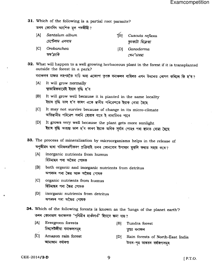31. Which of the following is a partial root parasite?

তলৰ কোনবিধ আংশিক মূল পৰজীৱী?

- lAl Santalum album চেন্টেলাম এলবাম [B] Cuscuta reflexa কৃচকাটা ৰিফ্লেক্সা IC1 Orobanchea IDl Ganoderma q{',g(i? cta'vvql
- 32. What wiil happen to a well growing herbaceous plant in the forest if it is transplanted outside the forest in a park?

বনাঞ্চলৰ মাজত লহপহকৈ বাঢ়ি অহা এজোপা তৃণক বনাঞ্চলৰ বাহিৰত এখন উদ্যানত ৰোপণ কৰিলে কি হ'ব*?* 

- [A] It will grow normally স্বাভাৱিকভাৱেই ইয়াৰ বৃদ্ধি হ'ব
- [B] It will grow well because it is planted in the same locality ইয়াৰ বৃদ্ধি ভাল হ'ব কাৰণ একে স্থানীয় পৰিৱেশতে ইয়াক ৰোৱা হৈছে
- [C] It may not survive because of change in its micro-climate অতিষ্থানীয় পৰিৱেশ সলনি হোৱাৰ বাবে ই নাবাচিবও পাৰে
- lD1 It grows very well because the plant gets more suniight ইয়াৰ বৃদ্ধি অত্যন্ত ভাল হ'ব কাৰণ ইয়াক অধিক সূৰ্য্যৰ পোহৰ পৰা স্থানত ৰোৱা হৈছে

33. The process of mineralization by microorganisms helps in the release of অণুজীৱৰ দ্বাৰা খনিজলৱণীকৰণ প্ৰক্ৰিয়াই তলৰ কোনবোৰ উপাদান মুকলি কৰাত সহায় কৰে?

- [A] inorganic nutrients from humus হিউমাছৰ পৰা অজৈৱ পোষক
- lB1 both organic and inorganic nutrients from detritus অপৰদৰ পৰা জৈৱ আৰু অজৈৱ পোষক
- ICl organic nutrients from humus হিউমাছৰ পৰা জৈৱ পোষক
- [D] inorganic nutrients from detritus অপৰদৰ পৰা অজৈৱ পোষক
- 34. Which of the following forests is known as the 'lungs of the planet earth'? 'তলৰ কোনভাগ বনাঞ্চলক 'পৃথিৱীৰ হাওঁফাওঁ' হিচাবে জনা যায়?
	- IAI Evergreen forests চিৰসেউজীয়া বনাঞ্চলসমূহ [B] Tundra forest তন্দ্ৰা বনাঞ্চল
	- fCl Amazon rain forest আমাজান বৰ্ষাৰণা [D] Rain forests of North-East India উত্তৰ-পূৱ ভাৰতৰ বৰ্ষাৰণ্যসমূহ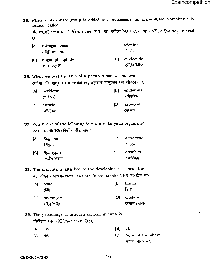35. When a phosphate group is added to a nucleoside, an acid-soluble biomolecule is formed, called

এটা ফছ্ফেট্ গ্ৰুপক এটা নিউক্লিঅ'ছাইডৰ সৈতে যোগ কৰিলে উৎপন্ন হোৱা এচিড দ্ৰৱীভূত জৈৱ অণুটোক কোৱা হয়

ছেপউড

- $|B|$ adenine nitrogen base [A] এডিনিন নাইট'জেন বেছ nucleotide  $[D]$
- $|C|$ sugar phosphate নিউক্লিয়'টাইড চগাৰ ফছফেট

36. When we peel the skin of a potato tuber, we remove যেতিয়া এটা আলুৰ বাকলি গুচোৱা হয়, প্ৰকৃততে আলুটোৰ পৰা আঁতৰোৱা হয়

- epidermis  $|B|$ periderm [A] এপিডার্মিচ পেৰিডাৰ্ম sapwood [C] cuticle  $[D]$
- 37. Which one of the following is not a eukaryotic organism? তলৰ কোনটো ইউকেৰিয়টিক জীৱ নহয়?

কিউটিকল

| [A] | Euglena<br>ইউগ্ৰেনা       | IBI  | Anabaena<br>এনাবিনা  |
|-----|---------------------------|------|----------------------|
| [C] | Spirogyra<br>স্পাইৰ'গাইৰা | 1DI. | Agaricus<br>এগাৰিকাছ |

38. The placenta is attached to the developing seed near the এটা বীজৰ বীজাণ্ডাসন/অপৰা সংযোজিত হৈ থকা একেবাৰে কাষৰ অংশটোৰ নাম

| $\mathbf{A}$ | testa       | [B] | hilum         |
|--------------|-------------|-----|---------------|
|              | টেষ্টা      |     | হিলাম         |
| ĨΟ           | micropyle   | IDI | chalaza       |
|              | মাইক্ৰ'পাইল |     | কালাজা/ছালাজা |

### 39. The percentage of nitrogen content in urea is 'ইউৰিয়াত থকা নাইট্ৰ'জেনৰ শতাংশ হৈছে

- 26  $|B|$ 36  $[A]$
- $|C|$ 46  $[D]$
- None of the above ওপৰৰ এটাও নহয়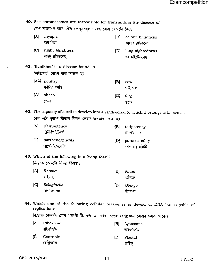40. Sex chromosomes are responsible for transmitting the disease of ৰোগ সংক্ৰমণৰ বাবে যৌন গুণসূত্ৰসমূহ দায়বদ্ধ হোৱা ৰোগটো হৈছে  $[A]$ myopia colour blindness  $|B|$ 

- মায়'পিয়া কালাৰ ব্লাইন্ডনেছ [C] night blindness [D] long sightedness নাইট্ ব্লাইন্ডনেছ লং চাইটেডনেছ
- 41. Ranikhet' is a disease found in 'ৰাণীখেত' ৰোগৰ দ্বাৰা আক্ৰান্ত হয়

| [A] <del>\</del> poultry | [B] | cow     |
|--------------------------|-----|---------|
| ঘৰচীয়া চৰাই             |     | গাই গৰু |
| $[C]$ sheep              | [D] | dog     |
| ভেতা                     |     | কুকুৰ   |

42. The capacity of a cell to develop into an individual to which it belongs is known as কোষ এটা পূৰ্ণাংগ জীৱলৈ বিকাশ হোৱাৰ ক্ষমতাক কোৱা হয়

| [A] | pluripotency<br>প্লিউৰিপ'টেনচি      | 1BI | totipotency<br>টটিপ'টেনচি         |
|-----|-------------------------------------|-----|-----------------------------------|
| ſСI | parthenogenesis<br>পার্থেন'জেনেচিচ্ | IDI | parasexuality<br>পেৰাচেক্সুৱেলিটি |

- 43. Which of the following is a living fossil? নিয়োক্ত কোনটো জীৱন্ত জীৱাশ্ম?
	- Rhynia  $[A]$  $|B|$ Pinus ৰাইনিয়া পাইনাচ [C] Selaginella Ginkgo ן כן " চিলাজিনেলা জিংকগ'
- 44. Which one of the following cellular organelles is devoid of DNA but capable of replication?

নিয়োক্ত কোনবিধ কোষ পদাৰ্থত ডি. এন. এ. নথকা সত্ত্বেও ৰেপ্লিকেচন হোৱাৰ ক্ষমতা থাকে?

| [A] | Ribosome                    | IBL  | Lysosome  |
|-----|-----------------------------|------|-----------|
|     | ৰাইব'জ'ম                    |      | লাইছ'জ'ম  |
|     | IC Centriole<br>ছেন্ট্ৰিঅ'ল | IDI. | Plastid   |
|     |                             |      | প্লাষ্টিড |

CEE-2014/2-D

 $11$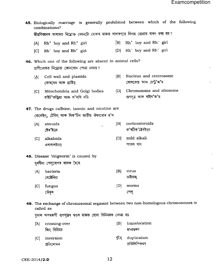$\ddot{\phantom{0}}$ 

÷.

 $\mathbb{R}^2$ 

 $\epsilon$ 

|     | combinations?<br>জীৱবিজ্ঞানৰ আধাৰত নিম্নোক্ত কোনটো যোৰাৰ মাজত সাধাৰণতে বিবাহ হোৱাত বাৰণ কৰা হয় ? |     | 45. Biologically marriage is generally prohibited between which of the following  |
|-----|---------------------------------------------------------------------------------------------------|-----|-----------------------------------------------------------------------------------|
|     |                                                                                                   |     |                                                                                   |
| [A] | $Rh^+$ boy and $Rh^+$ girl                                                                        |     | $[B]$ Rh <sup>+</sup> boy and Rh <sup>-</sup> girl                                |
| C   | $Rh^-$ boy and $Rh^+$ girl                                                                        |     | $[D]$ Rh <sup>-</sup> boy and Rh <sup>-</sup> girl                                |
|     | 46. Which one of the following are absent in animal cells?                                        |     |                                                                                   |
|     | প্ৰাণীকোষত নিয়োক্ত কোনবোৰ পোৱা নাযায়?                                                           |     |                                                                                   |
| [A] | Cell wall and plastids<br>কোষবেৰ আৰু প্লাষ্টিড্                                                   | B   | Nucleus and centrosome<br>কোষকেন্দ্ৰ আৰু চেন্ট্ৰ'জ'ম                              |
| C   | Mitochondria and Golgi bodies<br>মাইট'কন্ড্ৰিয়া আৰু গ'লগি বডি                                    | [D] | Chromosome and ribosome<br>গুণসূত্ৰ আৰু ৰাইব'জ'ম                                  |
|     | 47. The drugs caffeine, tannin and nicotine are                                                   |     |                                                                                   |
|     | কেফেইন, টেনিন আৰু নিক'টিন জাতীয় ঔষধবোৰ হ'ল                                                       |     |                                                                                   |
|     | steroids                                                                                          | B   | corticosteroids                                                                   |
| [A] | ষ্টেৰ'ইড়চ                                                                                        |     | ক'ৰটিক'ষ্টেৰইড়চ                                                                  |
| C   | alkaloids                                                                                         | [D] | mild alkali                                                                       |
|     | এলকালইডচ্                                                                                         |     | পাতল খাৰ                                                                          |
|     |                                                                                                   |     |                                                                                   |
|     | <b>48.</b> Disease 'ringworm' is caused by                                                        |     |                                                                                   |
|     | ঘূৰণীয়া পেলুৰোগৰ কাৰক হৈছে                                                                       |     |                                                                                   |
| [A] | bacteria                                                                                          | [B] | virus                                                                             |
|     | বেক্টেৰিয়া                                                                                       |     | ভাইৰাছ                                                                            |
| C   | fungus                                                                                            | [D] | worms                                                                             |
|     | ভেঁকুৰ                                                                                            |     | পেলু                                                                              |
|     | called as                                                                                         |     | 49. The exchange of chromosomal segment between two non-homologous chromosomes is |
|     | দূডাল অসমৰূপী গুণসূত্ৰৰ খণ্ডৰ মাজত হোৱা বিনিময়ক কোৱা হয়                                         |     |                                                                                   |
| [A] | crossing-over                                                                                     | B   | translocation                                                                     |
|     | জিন বিনিময়                                                                                       |     | স্থানান্তৰণ                                                                       |
| [C] | inversion<br>প্ৰতিলোমন                                                                            | 1D] | duplication<br>প্ৰতিলিপিকৰণ                                                       |

CEE-2014/2-D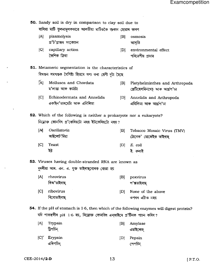| 50. Sandy soil is dry in comparison to clay soil due to     |                                                                                                                                                                             |     |                                                                 |  |
|-------------------------------------------------------------|-----------------------------------------------------------------------------------------------------------------------------------------------------------------------------|-----|-----------------------------------------------------------------|--|
| বালিয়া মাটি তুলনামূলকভাৱে আলতীয়া মাটিতকৈ শুকান হোৱাৰ কাৰণ |                                                                                                                                                                             |     |                                                                 |  |
| [A]                                                         | plasmolysis<br>প্ৰ'ট'প্লাজম সংকোচন                                                                                                                                          | [B] | osmosis<br>আসৃতি                                                |  |
| G                                                           | capillary action<br>কৈশিক ক্ৰিয়া                                                                                                                                           | D   | environmental effect<br>পৰিৱেশীয় প্ৰভাৱ                        |  |
|                                                             | <b>51.</b> Metameric segmentation is the characteristics of                                                                                                                 |     |                                                                 |  |
|                                                             | বিখণ্ডন সমখণ্ডক বৈশিষ্ট্য হিচাবে গণ্য কৰা শ্ৰেণী দুটা হৈছে                                                                                                                  |     |                                                                 |  |
| [A]                                                         | Mollusca and Chordata<br>ম'লাস্না আৰু কৰ্ডাটা                                                                                                                               | B   | Platyhelminthes and Arthropoda<br>প্লেটিহেলমিনথেচ্ আৰু আৰ্থপ'ডা |  |
| C                                                           | Echinodermata and Annelida<br>একাইন'ডাৰমেটা আৰু এনিলিডা                                                                                                                     | [D] | Annelida and Arthropoda<br>এনিলিডা আৰু আৰ্থ্ৰপ'ডা               |  |
|                                                             | 52. Which of the following is neither a prokaryote nor a eukaryote?<br>নিয়োক্ত কোনবিধ প্ৰ'কেৰিয়টো নহয় ইউকেৰিয়টো নহয়?                                                   |     |                                                                 |  |
| [A]                                                         | Oscillatoria<br>অছিলেট'ৰিয়া                                                                                                                                                | B   | Tobacco Mosaic Virus (TMV)<br>টোবেক' মোজেইক ভাইৰাছ              |  |
| [C]                                                         | Yeast<br>ইষ্ট                                                                                                                                                               | [D] | E. coli<br>ই কলাই                                               |  |
|                                                             | 53. Viruses having double-stranded RNA are known as                                                                                                                         |     |                                                                 |  |
|                                                             | দুদলীয়া আৰ. এন. এ. যুক্ত ভাইৰাছ্বোৰক কোৱা হয়                                                                                                                              |     |                                                                 |  |
| [A]                                                         | rheovirus                                                                                                                                                                   | B   | poxvirus                                                        |  |
|                                                             | ৰিঅ'ভাইৰাছ                                                                                                                                                                  |     | প'ক্সভাইৰাছ                                                     |  |
| [C]                                                         | ribovirus                                                                                                                                                                   | [D] | None of the above                                               |  |
|                                                             | ৰিবোভাইৰাছ                                                                                                                                                                  |     | ওপৰৰ এটাও নহয়                                                  |  |
|                                                             | 54. If the pH of stomach is 1.6, then which of the following enzymes will digest protein?<br>যদি পাকস্থলীৰ pH 1·6 হয়, নিয়োক্ত কোনবিধ এন্জাইমে প্ৰ'টিনক পাচন কৰিব <i>?</i> |     |                                                                 |  |
| [A]                                                         | Trypsin<br>ট্রিপচিন্                                                                                                                                                        | [B] | Amylase<br>এমাইলেজ                                              |  |
| $[C]^\sim$                                                  | Erypsin<br>এৰিপচিন্                                                                                                                                                         | [D] | Pepsin<br>পেপচিন্                                               |  |

 $\cdot$ 

 $\hat{\mathbf{r}}$ 

 $\hat{\boldsymbol{\cdot} }$ 

 $\bar{A}$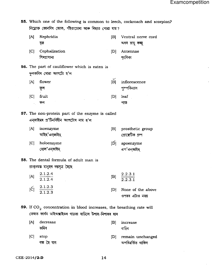55. Which one of the following is common to leech, cockroach and scorpion? নিয়োক্ত কোনবিধ জোক, পঁইতাচোৰা আৰু বিছাত পোৱা যায়?

- $[A]$ Nephridia  $|B|$ Ventral nerve cord বৃক অধৰ স্নায়ু ৰজ্জু  $|C|$ Cephalization  $[D]$ Antennae শিৰপ্ৰাধান্য শংগিকা 56. The part of cauliflower which is eaten is ফলকবিৰ খোৱা অংশটো হ'ল  $[A]$ flower  $|B|$ inflorescence ফুল পুষ্পবিন্যাস
	- $|C|$ fruit  $[D]$ leaf ফল পাত
- 57. The non-protein part of the enzyme is called এনজাইমৰ প্ৰ'টিনবিহীন অংশটোৰ নাম হ'ল
	- $[A]$ isoenzyme [B] prosthetic group আইছ'এনজাইম প্ৰোক্তেটিক গ্ৰুপ
	- $|C|$ holoenzyme  $|\mathbf{p}| =$ apoenzyme হোল'এনজাইম এপ'এন্জাইম্
- **58.** The dental formula of adult man is প্ৰাপ্তবয়স্ক মানুহৰ দন্তসূত্ৰ হৈছে
	- $\frac{2.1.2.4}{2.1.2.4}$ 2.2.3.1  $[A]$  $|B|$  $2, 2, 3, 1$  $[\text{C}]$   $\frac{2.1.2.3}{2.1.2.3}$ None of the above  $[D]$ ওপৰৰ এটাও নহয়

59. If  $CO_2$  concentration in blood increases, the breathing rate will তেজত কাৰ্বন ডাইঅক্সাইডৰ গাঢ়তা বাঢ়িলে উশাহ-নিশাহৰ হাৰ

decrease  $[A]$  $|B|$ increase কমিব বাঢিব  $|C|$ stop [D] remain unchanged বন্ধ হৈ যাব অপৰিৱৰ্তিত থাকিব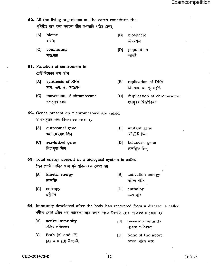60. All the living organisms on the earth constitute the পৃথিৱীত বাস কৰা সকলো জীৱ লগলাগি গঠিত হৈছে

- $|A|$ biome বায়'ম
- community  $|C|$ সম্প্ৰদায
- 61. Function of centromere is চেন্ট্ৰ'মিয়েৰৰ কাৰ্য হ'ল
	- [A] synthesis of RNA আৰ. এন. এ. সংশ্লেষণ
	- movement of chromosome  $|C|$ গুণসূত্ৰৰ চলন
- 62. Genes present on Y chromosome are called Y গুণসূত্ৰত থকা জিনবোৰক কোৱা হয়
	- [A] autosomal gene  $|B|$ অটোজোমেল জিন্ মিউটেন্ট জিন
	- $|C|$ sex-linked gene holandric gene  $[D]$ লিংগযুক্ত জিন্

63. Total energy present in a biological system is called জৈৱ প্ৰণালী এটাত থকা মুঠ শক্তিভাগক কোৱা হয়

- kinetic energy  $[A]$  $|B|$ activation energy চলশক্তি সক্ৰিয় শক্তি
- $|C|$ entropy  $[D]$ এন্ট'পি
- 64. Immunity developed after the body has recovered from a disease is called শৰীৰে ৰোগ এটাৰ পৰা আৰোগ্য লাভ কৰাৰ পিচত উৎপত্তি হোৱা প্ৰতিৰক্ষাক কোৱা হয়
	- $[A]$ active immunity passive immunity  $|B|$ সক্ৰিয় প্ৰতিৰক্ষণ
	- Both  $(A)$  and  $(B)$  $|C|$ (A) আৰু (B) উভয়েই
- 
- পৰোক্ষ প্ৰতিৰক্ষণ
- [D] None of the above ওপৰৰ এটাও নহয়

15

- $|B|$ biosphere জীৱমণ্ডল
- population  $[D]$ আবদী
- $|B|$ replication of DNA ডি. এন. এ. পুনৰাবৃত্তি
- duplication of chromosome  $[D]$ গুণসূত্ৰৰ দ্বিগুণীকৰণ
	- mutant gene
- হলেন্ড্ৰিক জিন্

enthalpy এন্থাল্পি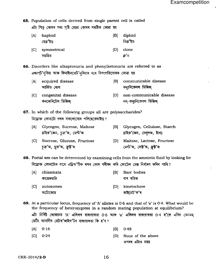65. Population of cells derived from single parent cell is called এটা পিতৃ কোষৰ পৰা সৃষ্টি হোৱা কোষৰ সমষ্টিক কোৱা হয়

tAl haploid IBI diploid ক্ৰী আৰু বিষয়ে আৰু প্ৰতিষ্ঠা হৈছে।<br>ক্ৰীকৃতিক বিষয়ে আৰু বিষয়ে বিষয়ে বিষয়ে বিষয়ে বিষয়ে বিষয়ে বিষয়ে বিষয়ে বিষয়ে বিষয়ে বিষয়ে বিষয়ে বিষয়<br>বিষয়ে বিষয়ে বিষয়ে বিষয়ে বিষয়ে বিষয়ে বিষয়ে বিষয়ে বিষয়ে বিষয়ে বিষয lcl symmetrical tDl clone সময়িত ${{\bf a}^2}$ ন

55. Disorders like alkaptonuria and phenylketonuria are referred to as এক্ষাপ্ট'নুৰিয়া আৰু ফিনাইলকেট'নুৰিয়াৰ দৰে বিসংগতিবোৰক কোৱা হয়

- IAI acquired disease আৰ্জিত বোগ IBI communicable disease কম্যানিকেবল ডিজিজ্
- ICI congenital disease কনজেনিটেল ডিজিজ tDl non-communicable disease নন্-কম্যানিকেবল ডিজিজ্

67. In which of the following groups all are polysaccharides? নিয়োক্ত কোনটো দলৰ সকলোবোৰ পলিছেকেৰাইড়?

- [A] Glycogen, Sucrose, Maltose [B] Glycogen, Cellulose, Starch গ্নাইক'জেন, চক্ৰ'জ, মেন্ট'জ কৰা বিভিন্ন সোঁহক'জেন, চেলুলজ, ষ্টাৰচ্
- [C] Sucrose, Glucose, Fructose [D] Maltose, Lactose, Fructose  $\bar{p}$ ক্র'জ, গ্লুক্ট'জ, ক্রিষ্ট'জ, ক্রেক্ট'জ, ক্রান্ট'জ, ক্রেক্ট'জ, ক্রান্ট'জ, ক্রান্ট'জ, ক্রান্ট'জ, ক্রান্ট'জ,
- 58. Foetal sex can be determined by examining cells from the amniotic fluid by iooking for নিয়োক্ত কোনটোৰ বাবে এম্ব্ৰিঅ'টিক ৰসৰ কোষ পৰীক্ষা কৰি ফোটেল চেক্স নিৰ্ধাৰণ কৰিব পাৰি?
	- [A] chiasmata tBl Barr bodies কায়েজমাটা $\qquad \qquad$ া  $\qquad \qquad$ ার বডিজ {C1 autosomes ID1 kinetochore qetTeqF oRcab'E'<
- 69. At a particular locus, frequency of 'A'alleles is 0.6 and that of 'a' is O'4. What would be the frequency of heterozygotes in a random mating population at equilibrium? এটা নিৰ্দিষ্ট লোকাচত 'A' এলিলৰ বাৰংবাৰতা  $0.6$  আৰু 'a' এলিলৰ বাৰংবাৰতা  $0.4$  হ'লে এবিধ ৰেনডম্ মেটিং আবাদীৰ হেটাৰ'জাইগ'টৰ বাৰংবাৰতা কি হ'ব ?
	- $[A]$  0.16  $[B]$  0.48
	- tcl O'24 IDI None of the above
		- ওপৰৰ এটাও নহয়

- 
- 
- -
	-
	-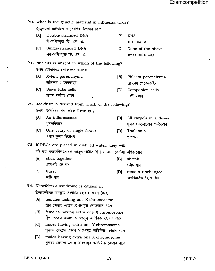$\bar{ }$ 

|                                                      | 70. What is the genetic material in influenza virus?                                                 |                                                         |     |                                                  |  |  |
|------------------------------------------------------|------------------------------------------------------------------------------------------------------|---------------------------------------------------------|-----|--------------------------------------------------|--|--|
|                                                      | ইনফ্লুয়েঞ্জা ভাইৰাছৰ আনুবংশিক উপাদান কি?                                                            |                                                         |     |                                                  |  |  |
|                                                      | [A]                                                                                                  | Double-stranded DNA<br>দ্বি-সর্পিলযুক্ত ডি. এন. এ.      | B   | <b>RNA</b><br>আৰ. এন. এ.                         |  |  |
|                                                      | [C]                                                                                                  | Single-stranded DNA<br>এক-সর্পিলযুক্ত ডি. এন. এ.        | [D] | None of the above<br>ওপৰৰ এটাও নহয়              |  |  |
|                                                      |                                                                                                      | <b>71.</b> Nucleus is absent in which of the following? |     |                                                  |  |  |
|                                                      |                                                                                                      | তলৰ কোনবিধত কোষকেন্দ্ৰ নাথাকে?                          |     |                                                  |  |  |
|                                                      | [A]                                                                                                  | Xylem parenchyma<br>জাইলেম পেৰেন্কাইমা                  | B   | Phloem parenchyma<br>ফোৱেম পেৰেন্কাইমা           |  |  |
|                                                      | C                                                                                                    | Sieve tube cells<br>চালনি নলীকা কোষ                     | [D] | Companion cells<br>সংগী কোষ                      |  |  |
|                                                      |                                                                                                      | 72. Jackfruit is derived from which of the following?   |     |                                                  |  |  |
|                                                      |                                                                                                      | তলৰ কোনবিধৰ পৰা কঁঠাল উৎপন্ন হয়?                       |     |                                                  |  |  |
|                                                      | [A]                                                                                                  | An inflorescence<br>পুষ্পবিন্যাস                        | B   | All carpels in a flower<br>ফুলৰ সকলোবোৰ গৰ্ভকেশৰ |  |  |
|                                                      |                                                                                                      | [C] One ovary of single flower<br>এপাহ ফুলৰ ডিম্বাশয়   | [D] | Thalamus<br>পু৺পাসন                              |  |  |
| 73. If RBCs are placed in distilled water, they will |                                                                                                      |                                                         |     |                                                  |  |  |
|                                                      | যদি ৰঙা ৰক্তকণিকাবোৰক আসুত পানীত দি দিয়া হয়, তেতিয়া কণিকাবোৰ                                      |                                                         |     |                                                  |  |  |
|                                                      | A                                                                                                    | stick together                                          | B   | shrink                                           |  |  |
|                                                      |                                                                                                      | একগোট হৈ যাব                                            |     | কোঁচ খাব                                         |  |  |
|                                                      | [C]                                                                                                  | burst<br>ফাটি যাব                                       | D   | remain unchanged<br>অপৰিৱৰ্তিত হৈ থাকিব          |  |  |
|                                                      |                                                                                                      | 74. Klinefelter's syndrome is caused in                 |     |                                                  |  |  |
|                                                      | ক্লিনফেন্টাৰচ চিনড্ৰ'ম সংঘটিত হোৱাৰ কাৰণ হৈছে                                                        |                                                         |     |                                                  |  |  |
|                                                      | [A]<br>females lacking one X chromosome<br>স্ত্ৰীৰ ক্ষেত্ৰত এডাল ${\bf X}$ গুণসূত্ৰ নোহোৱাৰ বাবে     |                                                         |     |                                                  |  |  |
|                                                      | [B]<br>females having extra one X chromosome<br>স্ত্ৰীৰ ক্ষেত্ৰত এডাল X গুণসূত্ৰ অতিৰিক্ত হোৱাৰ বাবে |                                                         |     |                                                  |  |  |
|                                                      | [C]<br>males having extra one Y chromosome<br>পুৰুষৰ ক্ষেত্ৰত এডাল Y গুণসূত্ৰ অতিৰিক্ত হোৱাৰ বাবে    |                                                         |     |                                                  |  |  |
|                                                      | [D]<br>males having extra one X chromosome<br>পুৰুষৰ ক্ষেত্ৰত এডাল X গুণসূত্ৰ অতিৰিক্ত হোৱাৰ বাবে    |                                                         |     |                                                  |  |  |

 $\ddot{\phantom{0}}$ 

 $\mathcal{A}^{\mathcal{A}}$ 

 $\hat{\mathcal{A}}$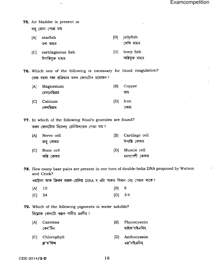#### 75. Air bladder is present in

বায়ু মোনা পোৱা যায়

- [B] jellyfish  $[A]$ starfish জেলি মাছত তৰা মাছত
- bony fish [C] cartilaginous fish  $[D]$ অম্বিযুক্ত মাছত উপাম্বিযুক্ত মাছত

76. Which one of the following is necessary for blood coagulation? তেজ খমলা বন্ধা প্ৰক্ৰিয়াত তলৰ কোনটোৰ প্ৰয়োজন?

| [A] | Magnesium   | [B] | Copper |
|-----|-------------|-----|--------|
|     | মেগনেছিয়াম |     | তাম    |
| C   | Calcium     | DI  | Iron   |
|     | কেলছিয়াম   |     | লোহা   |

77. In which of the following Nissl's granules are found? তলৰ কোনটোত নিচেলচ্ গ্ৰেনিউলবোৰ পোৱা যায়?

| ſA۱ | Nerve cell              | [B] | Cartilage cell               |
|-----|-------------------------|-----|------------------------------|
|     | স্নাযু কোষত             |     | উপাম্বি কোষত                 |
| ſCI | Bone cell<br>অন্থি কোষত | ΙDΙ | Muscle cell<br>মাংসপেশী কোষত |

78. How many base pairs are present in one turn of double-helix DNA proposed by Watson and Crick?

ওৱাট্চন আৰু ক্ৰিকৰ ডাৱল-হেলিক্স DNA ৰ এটা পাকত কিমান বেচ্ পেয়াৰ থাকে?

| $[A]$ 10 | $[B]$ 9   |  |
|----------|-----------|--|
| $[C]$ 34 | $[D]$ 3.4 |  |

79. Which of the following pigments is water soluble? নিয়োক্ত কোনটো ৰঞ্জক পানীত দ্ৰৱণীয়?

| (A) | Carotene<br>কেৰ'টিন          | IBI | Phycocyanin<br>ফাইক'চাইএনিন্ |
|-----|------------------------------|-----|------------------------------|
|     | [C] Chlorophyll<br>ক্ৰ'ৰ'ফিল | IDI | Anthocyanin<br>এছ'চাইএনিন্   |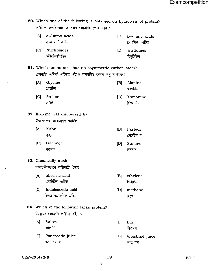$\bar{z}$ 

| 80. Which one of the following is obtained on hydrolysis of protein?<br>প্ৰ'টিনৰ জলবিয়োজনত তলৰ কোনবিধ পোৱা যায়? |                                                                                                         |     |                                      |  |  |
|-------------------------------------------------------------------------------------------------------------------|---------------------------------------------------------------------------------------------------------|-----|--------------------------------------|--|--|
| [A]                                                                                                               | $\alpha$ -Amino acids<br>α-এমিন' এচিড                                                                   | B   | $\beta$ -Amino acids<br>β-এমিন' এচিড |  |  |
| [C]                                                                                                               | Nucleosides<br>নিউক্লিঅ'চাইড                                                                            | D   | Histidines<br>হিচ্টিডিন              |  |  |
|                                                                                                                   | 81. Which amino acid has no asymmetric carbon atom?<br>কোনটো এমিন' এচিডত এটাও অসমমিত কাৰ্বন অণু নাথাকে? |     |                                      |  |  |
| [A]                                                                                                               | Glycine<br>গ্নাইচিন                                                                                     | [B] | Alanine<br>এলানিন                    |  |  |
| C                                                                                                                 | Proline<br>প্ৰ'লিন                                                                                      | [D] | Threonine<br>থ্ৰিঅ'নিন               |  |  |
| 82. Enzyme was discovered by<br>উৎসেচকৰ আৱিষ্কাৰক আছিল                                                            |                                                                                                         |     |                                      |  |  |
| [A]                                                                                                               | Kuhn<br>কুহন                                                                                            | [B] | Pasteur<br>পেচটিঅ'ৰ                  |  |  |
| C                                                                                                                 | Buchner<br>বুক্নাৰ                                                                                      | D   | Sumner<br>চামনাৰ                     |  |  |
|                                                                                                                   | 83. Chemically auxin is<br>ৰাসায়নিকভাৱে অক্সিনটো হৈছে                                                  |     |                                      |  |  |
| [A]                                                                                                               | abscisic acid<br>এবচিছিক এচিড                                                                           | [B] | ethylene<br>ইাথলিন                   |  |  |
| C                                                                                                                 | indoleacetic acid<br>'ইনড'লএচেটিক এচিড                                                                  | [D] | methane<br>মিথেন                     |  |  |
| 84. Which of the following lacks protein?<br>নিয়োক্ত কোনটো প্র'টিন বিহীন?                                        |                                                                                                         |     |                                      |  |  |
| [A]                                                                                                               | Saliva<br>লাল'টি                                                                                        | [B] | Bile<br>পিতৰস                        |  |  |
| [C]                                                                                                               | Pancreatic juice<br>অগ্ন্যাশয় ৰস                                                                       | [D] | Intestinal juice<br>আন্ত্ৰ ৰস        |  |  |

÷

 $\sim$ 

 $\overline{ }$ 

 $\cdot$ 

19

 $\lambda$ 

 $\mathcal{A}^{\mathcal{A}}$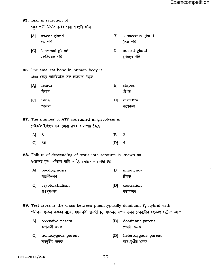- 85. Tear is secretion of চকৰ পানী নিৰ্গত কৰিব পৰা গ্ৰন্থিটো হ'ল
	- [A] sweat gland ঘৰ্ম গ্ৰন্থি
	- [C] lacrimal gland লেক্ৰিমেল গ্ৰন্থি

গুপ্তবৃষণতা

- $|B|$ sebaceous gland তৈল গ্ৰন্থি
- $[D]$ buccal gland মুখগহুৰ গ্ৰন্থি

বন্ধ্যাকৰণ

- 86. The smallest bone in human body is মানৱ দেহৰ আটাইতকৈ সৰু হাড়ডাল হৈছে
	- femur  $|B|$  $[A]$ stapes ফিমাৰ ষ্টেপছ
	- $|C|$ ulna vertebra  $[D]$ আলনা কশেৰুকা
- 87. The number of ATP consumed in glycolysis is গ্লাইক'লাইছিছত ব্যয় হোৱা ATP ৰ সংখ্যা হৈছে
	- $[A]$ 8  $|B|$  $\overline{2}$  $[C]$ 36  $[D]$  $\overline{4}$
- 88. Failure of descending of testis into scrotum is known as শুক্ৰাশয় বৃষণ থলিলৈ নামি আহিব নোৱাৰাক কোৱা হয়
	- paedogenesis  $[A]$  $|B|$ impotency শায়কীজনন ক্লীবত্ব  $|C|$ cryptorchidism  $[D]$ castration
- **89.** Test cross is the cross between phenotypically dominant  $F_1$  hybrid with পৰীক্ষণ সংকৰ কৰাবৰ বাবে, সমলক্ষণী প্ৰভাৱী  $\mathbf{F_{1}}$  সংকৰৰ লগত তলৰ কোনটোৰ সংকৰণ ঘটোৱা হয়?
	- $[A]$ recessive parent  $|B|$ dominant parent অপ্ৰভাৱী জনক প্ৰভাৱী জনক
	- [C] homozygous parent  $[D]$ heterozygous parent সমযুগ্মীয় জনক অসমযুগ্মীয় জনক

CEE-2014/2-D

20

Ť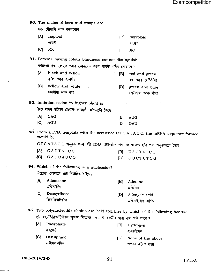90. The males of bees and wasps are মতা মৌমাখি আৰু বৰলবোৰ  $[A]$ haploid  $|B|$ polyploid এগুণ বহুগুণ  $|C|$ XX  $[D]$ XO 91. Persons having colour blindness cannot distinguish বৰ্ণান্ধতা থকা লোকে তলৰ কোনবোৰ ৰঙৰ পাৰ্থক্য ধৰিব নোৱাৰে? black and yellow  $|A|$  $|B|$ red and green ক'লা আৰু হালধীয়া ৰঙা আৰু সেউজীয়া  $|C|$ yellow and white [D] green and blue হালধীয়া আৰু বগা সেউজীয়া আৰু নীলা 92. Initiation codon in higher plant is উচ্চ খাপৰ উদ্ভিদৰ ক্ষেত্ৰত আৰম্ভণী ক'ডনটো হৈছে  $|A|$ **UAG**  $|B|$ **AUG**  $|C|$ **AGU**  $|D|$ GAU 93. From a DNA template with the sequence CTGATAGC, the mRNA sequence formed would be CTGATAGC অনুক্ৰম থকা এটা DNA টেমপ্লেটৰ পৰা mRNAত হ'ব পৰা অনুক্ৰমটো হৈছে GAUTATUG [A]  $|B|$ UACTATCU  $|\mathcal{X}C|$ GACUAUCG **GUCTUTCG**  $|D|$ 94. Which of the following is a nucleoside? নিয়োক্ত কোনটো এটা নিউক্লিঅ'চাইড?  $|A|$ Adenosine  $|B|$ Adenine এডিন'চিন এডিনিন  $|C|$ Deoxyribose [D] Adenylic acid ডিঅক্সিৰাইব'জ এডিনাইলিক এচিড 95. Two polynucleotide chains are held together by which of the following bonds? দুটা বহুনিউক্লিঅ'টাইডৰ শৃংখল নিম্নোক্ত কোনটো বন্ধনীৰ দ্বাৰা বান্ধ খাই থাকে?  $[A]$ Phosphate  $|B|$ Hydrogen ফছফেট হাইড্ৰ'জেন  $|C|$ Disulphide [D] None of the above ডাইছালফাইড় <sup>্</sup>ওপৰৰ এটাও নহয়

21